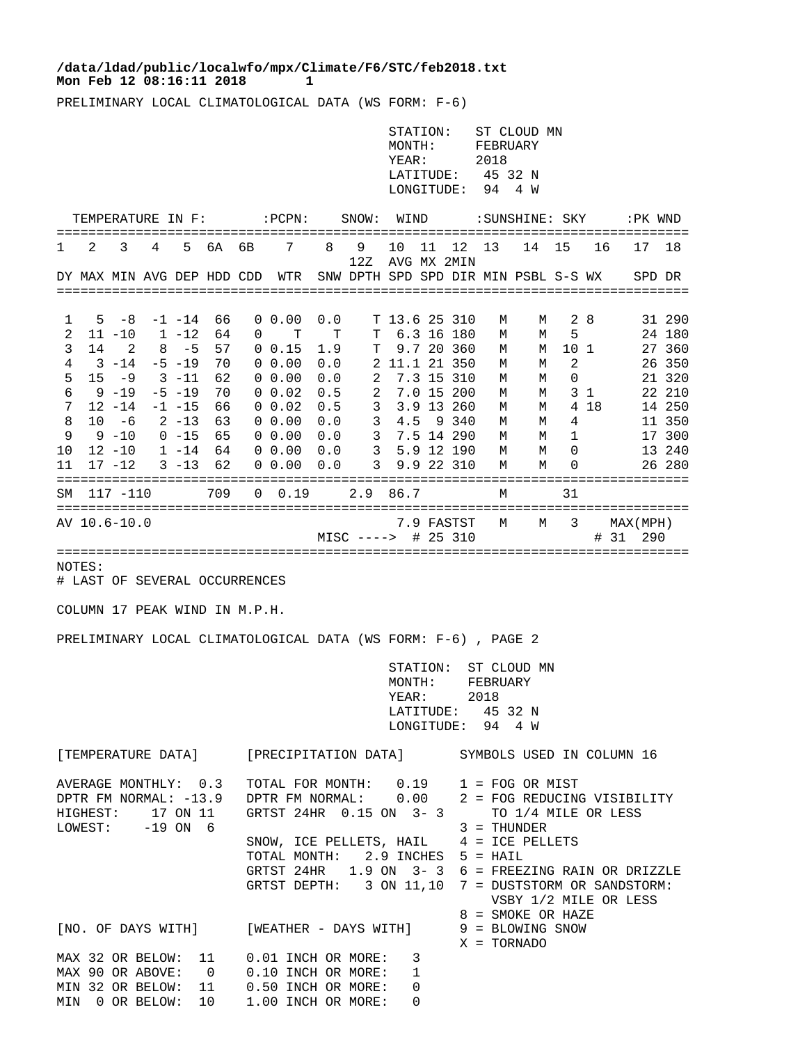## Mon Feb 12 08:16:11 2018 1 **/data/ldad/public/localwfo/mpx/Climate/F6/STC/feb2018.txt**

PRELIMINARY LOCAL CLIMATOLOGICAL DATA (WS FORM: F-6)

|                                                                                           |         |                                                                                                                                                  |   |                                                                                                                                 |                                                                         |                                                            |                                                                                                                                                            |                                                                         |                                                  | MONTH:<br>YEAR:                                                                                                                                                                                                                                                                                                                         | STATION:       | LONGITUDE:                                                                                                                                                           | FEBRUARY<br>2018<br>LATITUDE: 45 32 N<br>94                   | ST CLOUD MN<br>4 W                                       |                                                          |                       |           |                                                                                                            |
|-------------------------------------------------------------------------------------------|---------|--------------------------------------------------------------------------------------------------------------------------------------------------|---|---------------------------------------------------------------------------------------------------------------------------------|-------------------------------------------------------------------------|------------------------------------------------------------|------------------------------------------------------------------------------------------------------------------------------------------------------------|-------------------------------------------------------------------------|--------------------------------------------------|-----------------------------------------------------------------------------------------------------------------------------------------------------------------------------------------------------------------------------------------------------------------------------------------------------------------------------------------|----------------|----------------------------------------------------------------------------------------------------------------------------------------------------------------------|---------------------------------------------------------------|----------------------------------------------------------|----------------------------------------------------------|-----------------------|-----------|------------------------------------------------------------------------------------------------------------|
| TEMPERATURE IN F: : PCPN:                                                                 |         |                                                                                                                                                  |   |                                                                                                                                 |                                                                         |                                                            |                                                                                                                                                            | SNOW: WIND                                                              |                                                  |                                                                                                                                                                                                                                                                                                                                         | :SUNSHINE: SKY |                                                                                                                                                                      |                                                               |                                                          | :PK WND                                                  |                       |           |                                                                                                            |
| 1                                                                                         | 2       | 3                                                                                                                                                | 4 | 5                                                                                                                               | 6A                                                                      | 6B                                                         | 7                                                                                                                                                          | 8                                                                       | 9<br>12Z                                         | 10                                                                                                                                                                                                                                                                                                                                      | 11             | 12 <sup>°</sup><br>AVG MX 2MIN                                                                                                                                       | 13                                                            | 14                                                       | 15                                                       | 16                    | 17        | 18                                                                                                         |
|                                                                                           |         | DY MAX MIN AVG DEP HDD CDD                                                                                                                       |   |                                                                                                                                 |                                                                         |                                                            | WTR                                                                                                                                                        |                                                                         | SNW DPTH SPD SPD DIR MIN PSBL S-S WX             |                                                                                                                                                                                                                                                                                                                                         |                |                                                                                                                                                                      |                                                               |                                                          |                                                          |                       |           | SPD DR                                                                                                     |
| 1<br>2<br>3<br>4<br>5<br>6<br>7<br>8<br>9<br>10<br>11<br>SΜ                               | 5<br>14 | -8<br>$11 - 10$<br>2<br>3 -14<br>$15 - 9$<br>$9 - 19$<br>$12 - 14$<br>$10 - 6$<br>9 -10<br>$12 - 10$<br>$17 - 12$<br>$117 - 110$<br>AV 10.6-10.0 |   | $-1$ $-14$<br>1 -12<br>$8 - 5$<br>$-5 - 19$<br>3 -11<br>$-5 - 19$<br>$-1$ $-15$<br>$2 - 13$<br>$0 - 15$<br>$1 - 14$<br>$3 - 13$ | 66<br>64<br>57<br>70<br>62<br>70<br>66<br>- 63<br>65<br>64<br>62<br>709 | $\overline{0}$<br>0                                        | $0\;\;0.00$<br>т<br>$0 \t0.15$<br>$0\;\;0.00$<br>$0\;\;0.00$<br>$0\;\;0.02$<br>$0\;\;0.02$<br>$0\;\;0.00$<br>$0\;\;0.00$<br>$0\;\;0.00$<br>0, 0.00<br>0.19 | 0.0<br>т<br>1.9<br>0.0<br>0.0<br>0.5<br>0.5<br>0.0<br>0.0<br>0.0<br>0.0 | т<br>т<br>2<br>2<br>3<br>3<br>3<br>3<br>3<br>2.9 | 4.5<br>86.7                                                                                                                                                                                                                                                                                                                             |                | T 13.6 25 310<br>6.3 16 180<br>9.7 20 360<br>2 11.1 21 350<br>7.3 15 310<br>7.0 15 200<br>3.9 13 260<br>9340<br>7.5 14 290<br>5.9 12 190<br>9.9 22 310<br>7.9 FASTST | М<br>М<br>М<br>М<br>М<br>М<br>М<br>М<br>М<br>М<br>М<br>М<br>М | М<br>М<br>М<br>М<br>М<br>М<br>М<br>М<br>М<br>М<br>M<br>М | 28<br>5<br>10 1<br>2<br>0<br>4<br>1<br>0<br>0<br>31<br>3 | 3 <sub>1</sub><br>418 | MAX (MPH) | 31 290<br>24 180<br>27 360<br>26 350<br>21 320<br>22 210<br>14 250<br>11 350<br>17 300<br>13 240<br>26 280 |
| # 25 310<br>#<br>- 31<br>290<br>$MISC$ ---->                                              |         |                                                                                                                                                  |   |                                                                                                                                 |                                                                         |                                                            |                                                                                                                                                            |                                                                         |                                                  |                                                                                                                                                                                                                                                                                                                                         |                |                                                                                                                                                                      |                                                               |                                                          |                                                          |                       |           |                                                                                                            |
| NOTES:<br># LAST OF SEVERAL OCCURRENCES                                                   |         |                                                                                                                                                  |   |                                                                                                                                 |                                                                         |                                                            |                                                                                                                                                            |                                                                         |                                                  |                                                                                                                                                                                                                                                                                                                                         |                |                                                                                                                                                                      |                                                               |                                                          |                                                          |                       |           |                                                                                                            |
| COLUMN 17 PEAK WIND IN M.P.H.                                                             |         |                                                                                                                                                  |   |                                                                                                                                 |                                                                         |                                                            |                                                                                                                                                            |                                                                         |                                                  |                                                                                                                                                                                                                                                                                                                                         |                |                                                                                                                                                                      |                                                               |                                                          |                                                          |                       |           |                                                                                                            |
| PRELIMINARY LOCAL CLIMATOLOGICAL DATA (WS FORM: F-6), PAGE 2                              |         |                                                                                                                                                  |   |                                                                                                                                 |                                                                         |                                                            |                                                                                                                                                            |                                                                         |                                                  |                                                                                                                                                                                                                                                                                                                                         |                |                                                                                                                                                                      |                                                               |                                                          |                                                          |                       |           |                                                                                                            |
|                                                                                           |         |                                                                                                                                                  |   |                                                                                                                                 |                                                                         |                                                            |                                                                                                                                                            | STATION:<br>MONTH:<br>YEAR:<br>LATITUDE: 45 32 N<br>LONGITUDE: 94 4 W   |                                                  |                                                                                                                                                                                                                                                                                                                                         |                | ST CLOUD MN<br>FEBRUARY<br>2018                                                                                                                                      |                                                               |                                                          |                                                          |                       |           |                                                                                                            |
| [TEMPERATURE DATA] [PRECIPITATION DATA] SYMBOLS USED IN COLUMN 16                         |         |                                                                                                                                                  |   |                                                                                                                                 |                                                                         |                                                            |                                                                                                                                                            |                                                                         |                                                  |                                                                                                                                                                                                                                                                                                                                         |                |                                                                                                                                                                      |                                                               |                                                          |                                                          |                       |           |                                                                                                            |
| AVERAGE MONTHLY: 0.3<br>DPTR FM NORMAL: -13.9<br>17 ON 11<br>HIGHEST:<br>LOWEST: -19 ON 6 |         |                                                                                                                                                  |   |                                                                                                                                 |                                                                         | GRTST 24HR 0.15 ON 3-3<br>TOTAL MONTH: 2.9 INCHES 5 = HAIL |                                                                                                                                                            |                                                                         |                                                  | TOTAL FOR MONTH: 0.19 1 = FOG OR MIST<br>DPTR FM NORMAL: 0.00 2 = FOG REDUCING VISIBILITY<br>TO 1/4 MILE OR LESS<br>$3 = THUNDER$<br>SNOW, ICE PELLETS, HAIL 4 = ICE PELLETS<br>GRTST 24HR 1.9 ON 3-3 6 = FREEZING RAIN OR DRIZZLE<br>GRTST DEPTH: 3 ON 11,10 7 = DUSTSTORM OR SANDSTORM:<br>VSBY 1/2 MILE OR LESS<br>8 = SMOKE OR HAZE |                |                                                                                                                                                                      |                                                               |                                                          |                                                          |                       |           |                                                                                                            |
| [NO. OF DAYS WITH] [WEATHER - DAYS WITH]                                                  |         |                                                                                                                                                  |   |                                                                                                                                 |                                                                         |                                                            |                                                                                                                                                            | 9 = BLOWING SNOW<br>X = TORNADO                                         |                                                  |                                                                                                                                                                                                                                                                                                                                         |                |                                                                                                                                                                      |                                                               |                                                          |                                                          |                       |           |                                                                                                            |
|                                                                                           |         |                                                                                                                                                  |   |                                                                                                                                 |                                                                         |                                                            | MAX 32 OR BELOW: 11 0.01 INCH OR MORE: 3<br>MAX 90 OR ABOVE: 0 0.10 INCH OR MORE: 1                                                                        |                                                                         |                                                  |                                                                                                                                                                                                                                                                                                                                         |                |                                                                                                                                                                      |                                                               |                                                          |                                                          |                       |           |                                                                                                            |

MIN 32 OR BELOW: 11 0.50 INCH OR MORE: 0 MIN 0 OR BELOW: 10 1.00 INCH OR MORE: 0